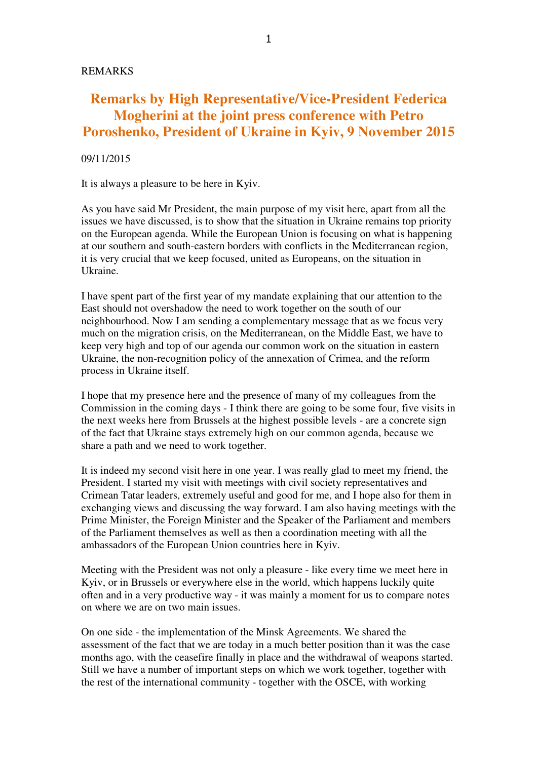## **Remarks by High Representative/Vice-President Federica Mogherini at the joint press conference with Petro Poroshenko, President of Ukraine in Kyiv, 9 November 2015**

## 09/11/2015

It is always a pleasure to be here in Kyiv.

As you have said Mr President, the main purpose of my visit here, apart from all the issues we have discussed, is to show that the situation in Ukraine remains top priority on the European agenda. While the European Union is focusing on what is happening at our southern and south-eastern borders with conflicts in the Mediterranean region, it is very crucial that we keep focused, united as Europeans, on the situation in Ukraine.

I have spent part of the first year of my mandate explaining that our attention to the East should not overshadow the need to work together on the south of our neighbourhood. Now I am sending a complementary message that as we focus very much on the migration crisis, on the Mediterranean, on the Middle East, we have to keep very high and top of our agenda our common work on the situation in eastern Ukraine, the non-recognition policy of the annexation of Crimea, and the reform process in Ukraine itself.

I hope that my presence here and the presence of many of my colleagues from the Commission in the coming days - I think there are going to be some four, five visits in the next weeks here from Brussels at the highest possible levels - are a concrete sign of the fact that Ukraine stays extremely high on our common agenda, because we share a path and we need to work together.

It is indeed my second visit here in one year. I was really glad to meet my friend, the President. I started my visit with meetings with civil society representatives and Crimean Tatar leaders, extremely useful and good for me, and I hope also for them in exchanging views and discussing the way forward. I am also having meetings with the Prime Minister, the Foreign Minister and the Speaker of the Parliament and members of the Parliament themselves as well as then a coordination meeting with all the ambassadors of the European Union countries here in Kyiv.

Meeting with the President was not only a pleasure - like every time we meet here in Kyiv, or in Brussels or everywhere else in the world, which happens luckily quite often and in a very productive way - it was mainly a moment for us to compare notes on where we are on two main issues.

On one side - the implementation of the Minsk Agreements. We shared the assessment of the fact that we are today in a much better position than it was the case months ago, with the ceasefire finally in place and the withdrawal of weapons started. Still we have a number of important steps on which we work together, together with the rest of the international community - together with the OSCE, with working